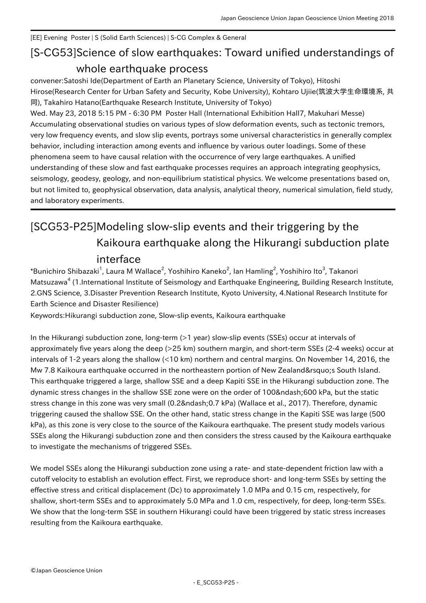## [EE] Evening Poster | S (Solid Earth Sciences) | S-CG Complex & General

## [S-CG53] Science of slow earthquakes: Toward unified understandings of whole earthquake process

convener:Satoshi Ide(Department of Earth an Planetary Science, University of Tokyo), Hitoshi Hirose(Research Center for Urban Safety and Security, Kobe University), Kohtaro Ujiie(筑波大学生命環境系, 共 同), Takahiro Hatano(Earthquake Research Institute, University of Tokyo)

Wed. May 23, 2018 5:15 PM - 6:30 PM Poster Hall (International Exhibition Hall7, Makuhari Messe) Accumulating observational studies on various types of slow deformation events, such as tectonic tremors, very low frequency events, and slow slip events, portrays some universal characteristics in generally complex behavior, including interaction among events and influence by various outer loadings. Some of these phenomena seem to have causal relation with the occurrence of very large earthquakes. A unified understanding of these slow and fast earthquake processes requires an approach integrating geophysics, seismology, geodesy, geology, and non-equilibrium statistical physics. We welcome presentations based on, but not limited to, geophysical observation, data analysis, analytical theory, numerical simulation, field study, and laboratory experiments.

## [SCG53-P25] Modeling slow-slip events and their triggering by the Kaikoura earthquake along the Hikurangi subduction plate interface

 $^*$ Bunichiro Shibazaki $^1$ , Laura M Wallace $^2$ , Yoshihiro Kaneko $^2$ , Ian Hamling $^2$ , Yoshihiro Ito $^3$ , Takanori Matsuzawa<sup>4</sup> (1.International Institute of Seismology and Earthquake Engineering, Building Research Institute, 2.GNS Science, 3.Disaster Prevention Research Institute, Kyoto University, 4.National Research Institute for Earth Science and Disaster Resilience)

Keywords:Hikurangi subduction zone, Slow-slip events, Kaikoura earthquake

In the Hikurangi subduction zone, long-term (>1 year) slow-slip events (SSEs) occur at intervals of approximately five years along the deep (>25 km) southern margin, and short-term SSEs (2-4 weeks) occur at intervals of 1-2 years along the shallow (<10 km) northern and central margins. On November 14, 2016, the Mw 7.8 Kaikoura earthquake occurred in the northeastern portion of New Zealand's South Island. This earthquake triggered a large, shallow SSE and a deep Kapiti SSE in the Hikurangi subduction zone. The dynamic stress changes in the shallow SSE zone were on the order of 100–600 kPa, but the static stress change in this zone was very small (0.2–0.7 kPa) (Wallace et al., 2017). Therefore, dynamic triggering caused the shallow SSE. On the other hand, static stress change in the Kapiti SSE was large (500 kPa), as this zone is very close to the source of the Kaikoura earthquake. The present study models various SSEs along the Hikurangi subduction zone and then considers the stress caused by the Kaikoura earthquake to investigate the mechanisms of triggered SSEs.

We model SSEs along the Hikurangi subduction zone using a rate- and state-dependent friction law with a cutoff velocity to establish an evolution effect. First, we reproduce short- and long-term SSEs by setting the effective stress and critical displacement (Dc) to approximately 1.0 MPa and 0.15 cm, respectively, for shallow, short-term SSEs and to approximately 5.0 MPa and 1.0 cm, respectively, for deep, long-term SSEs. We show that the long-term SSE in southern Hikurangi could have been triggered by static stress increases resulting from the Kaikoura earthquake.